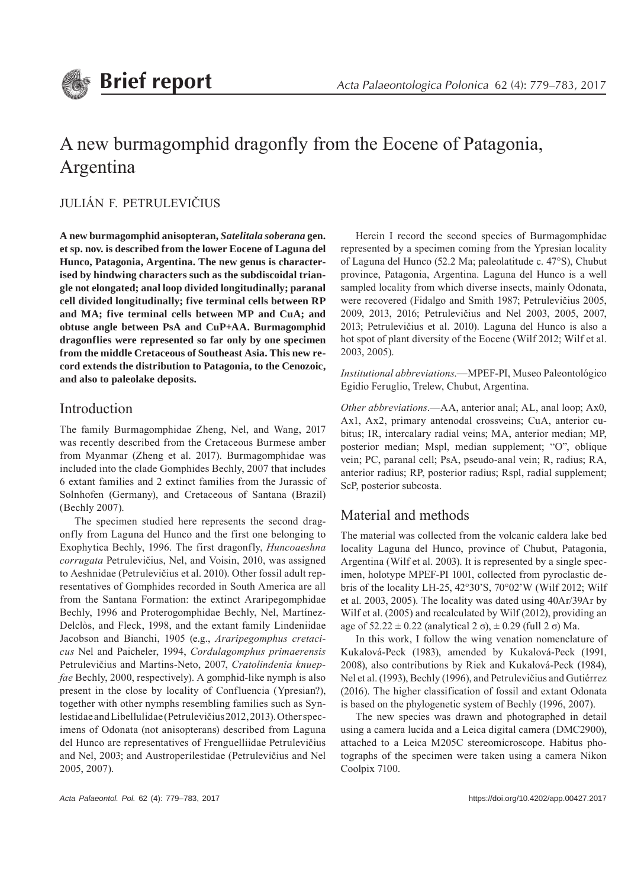# A new burmagomphid dragonfly from the Eocene of Patagonia, Argentina

JULIÁN F. PETRULEVIČIUS

**A new burmagomphid anisopteran,** *Satelitala soberana* **gen. et sp. nov. is described from the lower Eocene of Laguna del Hunco, Patagonia, Argentina. The new genus is characterised by hindwing characters such as the subdiscoidal triangle not elongated; anal loop divided longitudinally; paranal cell divided longitudinally; five terminal cells between RP and MA; five terminal cells between MP and CuA; and obtuse angle between PsA and CuP+AA. Burmagomphid dragonflies were represented so far only by one specimen from the middle Cretaceous of Southeast Asia. This new record extends the distribution to Patagonia, to the Cenozoic, and also to paleolake deposits.**

## Introduction

The family Burmagomphidae Zheng, Nel, and Wang, 2017 was recently described from the Cretaceous Burmese amber from Myanmar (Zheng et al. 2017). Burmagomphidae was included into the clade Gomphides Bechly, 2007 that includes 6 extant families and 2 extinct families from the Jurassic of Solnhofen (Germany), and Cretaceous of Santana (Brazil) (Bechly 2007).

The specimen studied here represents the second dragonfly from Laguna del Hunco and the first one belonging to Exophytica Bechly, 1996. The first dragonfly, *Huncoaeshna corrugata* Petrulevičius, Nel, and Voisin, 2010, was assigned to Aeshnidae (Petrulevičius et al. 2010). Other fossil adult representatives of Gomphides recorded in South America are all from the Santana Formation: the extinct Araripegomphidae Bechly, 1996 and Proterogomphidae Bechly, Nel, Martínez-Delclòs, and Fleck, 1998, and the extant family Lindeniidae Jacobson and Bianchi, 1905 (e.g., *Araripegomphus cretacicus* Nel and Paicheler, 1994, *Cordulagomphus primaerensis* Petrulevičius and Martins-Neto, 2007, *Cratolindenia knuepfae* Bechly, 2000, respectively). A gomphid-like nymph is also present in the close by locality of Confluencia (Ypresian?), together with other nymphs resembling families such as Synlestidae and Libellulidae (Petrulevičius 2012, 2013). Other specimens of Odonata (not anisopterans) described from Laguna del Hunco are representatives of Frenguelliidae Petrulevičius and Nel, 2003; and Austroperilestidae (Petrulevičius and Nel 2005, 2007).

Herein I record the second species of Burmagomphidae represented by a specimen coming from the Ypresian locality of Laguna del Hunco (52.2 Ma; paleolatitude c. 47°S), Chubut province, Patagonia, Argentina. Laguna del Hunco is a well sampled locality from which diverse insects, mainly Odonata, were recovered (Fidalgo and Smith 1987; Petrulevičius 2005, 2009, 2013, 2016; Petrulevičius and Nel 2003, 2005, 2007, 2013; Petrulevičius et al. 2010). Laguna del Hunco is also a hot spot of plant diversity of the Eocene (Wilf 2012; Wilf et al. 2003, 2005).

*Institutional abbreviations*.—MPEF-PI, Museo Paleontológico Egidio Feruglio, Trelew, Chubut, Argentina.

*Other abbreviations*.—AA, anterior anal; AL, anal loop; Ax0, Ax1, Ax2, primary antenodal crossveins; CuA, anterior cubitus; IR, intercalary radial veins; MA, anterior median; MP, posterior median; Mspl, median supplement; "O", oblique vein; PC, paranal cell; PsA, pseudo-anal vein; R, radius; RA, anterior radius; RP, posterior radius; Rspl, radial supplement; ScP, posterior subcosta.

# Material and methods

The material was collected from the volcanic caldera lake bed locality Laguna del Hunco, province of Chubut, Patagonia, Argentina (Wilf et al. 2003). It is represented by a single specimen, holotype MPEF-PI 1001, collected from pyroclastic debris of the locality LH-25, 42°30'S, 70°02'W (Wilf 2012; Wilf et al. 2003, 2005). The locality was dated using 40Ar/39Ar by Wilf et al. (2005) and recalculated by Wilf (2012), providing an age of  $52.22 \pm 0.22$  (analytical  $2 \sigma$ ),  $\pm 0.29$  (full  $2 \sigma$ ) Ma.

In this work, I follow the wing venation nomenclature of Kukalová-Peck (1983), amended by Kukalová-Peck (1991, 2008), also contributions by Riek and Kukalová-Peck (1984), Nel et al. (1993), Bechly (1996), and Petrulevičius and Gutiérrez (2016). The higher classification of fossil and extant Odonata is based on the phylogenetic system of Bechly (1996, 2007).

The new species was drawn and photographed in detail using a camera lucida and a Leica digital camera (DMC2900), attached to a Leica M205C stereomicroscope. Habitus photographs of the specimen were taken using a camera Nikon Coolpix 7100.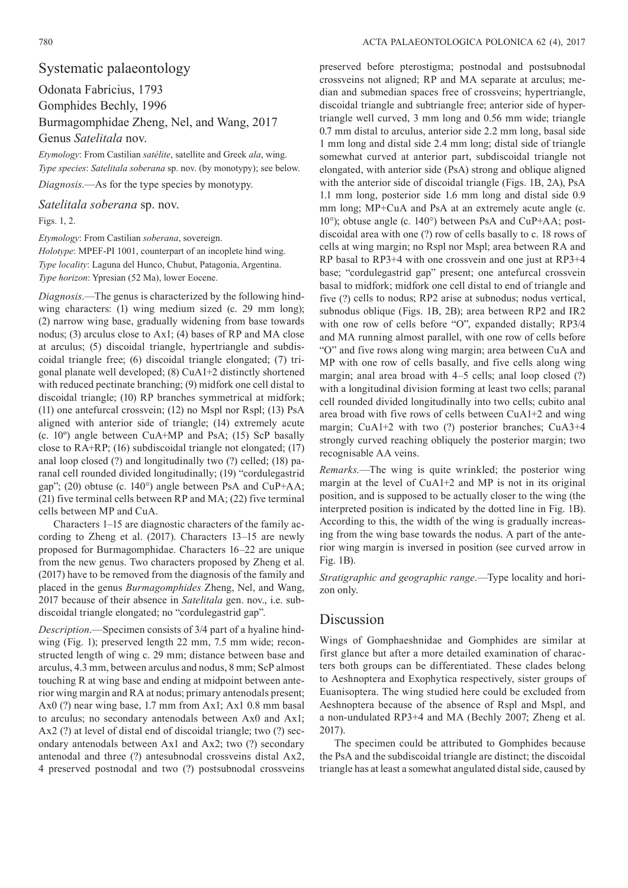## Systematic palaeontology

Odonata Fabricius, 1793 Gomphides Bechly, 1996 Burmagomphidae Zheng, Nel, and Wang, 2017 Genus *Satelitala* nov.

*Etymology*: From Castilian *satélite*, satellite and Greek *ala*, wing. *Type species*: *Satelitala soberana* sp. nov. (by monotypy); see below.

*Diagnosis*.—As for the type species by monotypy.

*Satelitala soberana* sp. nov.

Figs. 1, 2.

*Etymology*: From Castilian *soberana*, sovereign. *Holotype*: MPEF-PI 1001, counterpart of an incoplete hind wing. *Type locality*: Laguna del Hunco, Chubut, Patagonia, Argentina. *Type horizon*: Ypresian (52 Ma), lower Eocene.

*Diagnosis*.—The genus is characterized by the following hindwing characters: (1) wing medium sized (c. 29 mm long); (2) narrow wing base, gradually widening from base towards nodus; (3) arculus close to Ax1; (4) bases of RP and MA close at arculus; (5) discoidal triangle, hypertriangle and subdiscoidal triangle free; (6) discoidal triangle elongated; (7) trigonal planate well developed; (8) CuA1+2 distinctly shortened with reduced pectinate branching; (9) midfork one cell distal to discoidal triangle; (10) RP branches symmetrical at midfork; (11) one antefurcal crossvein; (12) no Mspl nor Rspl; (13) PsA aligned with anterior side of triangle; (14) extremely acute (c. 10º) angle between CuA+MP and PsA; (15) ScP basally close to RA+RP; (16) subdiscoidal triangle not elongated; (17) anal loop closed (?) and longitudinally two (?) celled; (18) paranal cell rounded divided longitudinally; (19) "cordulegastrid gap"; (20) obtuse (c. 140°) angle between PsA and CuP+AA; (21) five terminal cells between RP and MA; (22) five terminal cells between MP and CuA.

Characters 1–15 are diagnostic characters of the family according to Zheng et al. (2017). Characters 13–15 are newly proposed for Burmagomphidae. Characters 16–22 are unique from the new genus. Two characters proposed by Zheng et al. (2017) have to be removed from the diagnosis of the family and placed in the genus *Burmagomphides* Zheng, Nel, and Wang, 2017 because of their absence in *Satelitala* gen. nov., i.e. subdiscoidal triangle elongated; no "cordulegastrid gap".

*Description*.—Specimen consists of 3/4 part of a hyaline hindwing (Fig. 1); preserved length 22 mm, 7.5 mm wide; reconstructed length of wing c. 29 mm; distance between base and arculus, 4.3 mm, between arculus and nodus, 8 mm; ScP almost touching R at wing base and ending at midpoint between anterior wing margin and RA at nodus; primary antenodals present; Ax0 (?) near wing base, 1.7 mm from Ax1; Ax1 0.8 mm basal to arculus; no secondary antenodals between Ax0 and Ax1; Ax2 (?) at level of distal end of discoidal triangle; two (?) secondary antenodals between Ax1 and Ax2; two (?) secondary antenodal and three (?) antesubnodal crossveins distal Ax2, 4 preserved postnodal and two (?) postsubnodal crossveins

preserved before pterostigma; postnodal and postsubnodal crossveins not aligned; RP and MA separate at arculus; median and submedian spaces free of crossveins; hypertriangle, discoidal triangle and subtriangle free; anterior side of hypertriangle well curved, 3 mm long and 0.56 mm wide; triangle 0.7 mm distal to arculus, anterior side 2.2 mm long, basal side 1 mm long and distal side 2.4 mm long; distal side of triangle somewhat curved at anterior part, subdiscoidal triangle not elongated, with anterior side (PsA) strong and oblique aligned with the anterior side of discoidal triangle (Figs. 1B, 2A), PsA 1.1 mm long, posterior side 1.6 mm long and distal side 0.9 mm long; MP+CuA and PsA at an extremely acute angle (c. 10°); obtuse angle (c. 140°) between PsA and CuP+AA; postdiscoidal area with one (?) row of cells basally to c. 18 rows of cells at wing margin; no Rspl nor Mspl; area between RA and RP basal to RP3+4 with one crossvein and one just at RP3+4 base; "cordulegastrid gap" present; one antefurcal crossvein basal to midfork; midfork one cell distal to end of triangle and five (?) cells to nodus; RP2 arise at subnodus; nodus vertical, subnodus oblique (Figs. 1B, 2B); area between RP2 and IR2 with one row of cells before "O", expanded distally; RP3/4 and MA running almost parallel, with one row of cells before "O" and five rows along wing margin; area between CuA and MP with one row of cells basally, and five cells along wing margin; anal area broad with 4–5 cells; anal loop closed (?) with a longitudinal division forming at least two cells; paranal cell rounded divided longitudinally into two cells; cubito anal area broad with five rows of cells between CuA1+2 and wing margin; CuA1+2 with two (?) posterior branches; CuA3+4 strongly curved reaching obliquely the posterior margin; two recognisable AA veins.

*Remarks*.—The wing is quite wrinkled; the posterior wing margin at the level of CuA1+2 and MP is not in its original position, and is supposed to be actually closer to the wing (the interpreted position is indicated by the dotted line in Fig. 1B). According to this, the width of the wing is gradually increasing from the wing base towards the nodus. A part of the anterior wing margin is inversed in position (see curved arrow in Fig. 1B).

*Stratigraphic and geographic range*.—Type locality and horizon only.

### Discussion

Wings of Gomphaeshnidae and Gomphides are similar at first glance but after a more detailed examination of characters both groups can be differentiated. These clades belong to Aeshnoptera and Exophytica respectively, sister groups of Euanisoptera. The wing studied here could be excluded from Aeshnoptera because of the absence of Rspl and Mspl, and a non-undulated RP3+4 and MA (Bechly 2007; Zheng et al. 2017).

The specimen could be attributed to Gomphides because the PsA and the subdiscoidal triangle are distinct; the discoidal triangle has at least a somewhat angulated distal side, caused by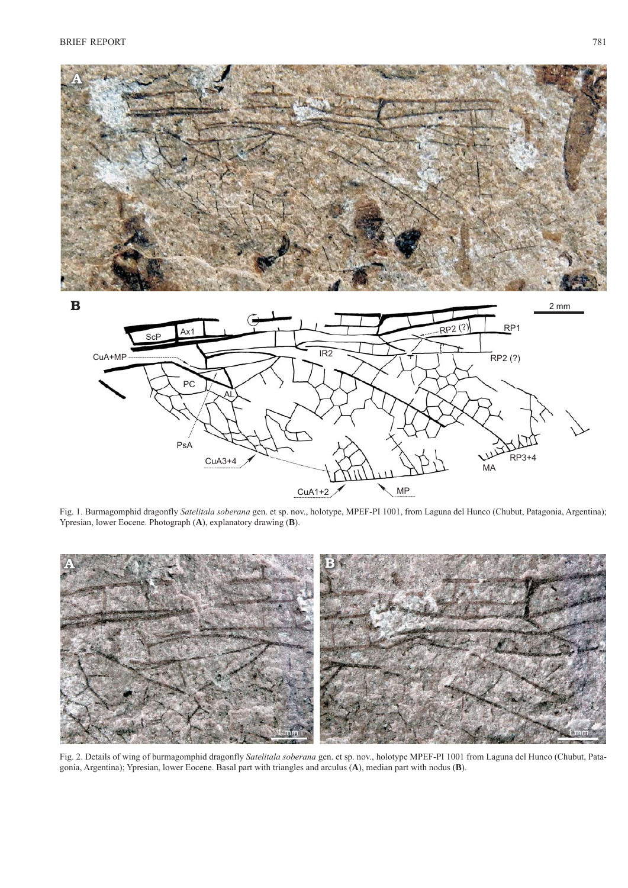

Fig. 1. Burmagomphid dragonfly *Satelitala soberana* gen. et sp. nov., holotype, MPEF-PI 1001, from Laguna del Hunco (Chubut, Patagonia, Argentina); Ypresian, lower Eocene. Photograph (**A**), explanatory drawing (**B**).



Fig. 2. Details of wing of burmagomphid dragonfly *Satelitala soberana* gen. et sp. nov., holotype MPEF-PI 1001 from Laguna del Hunco (Chubut, Patagonia, Argentina); Ypresian, lower Eocene. Basal part with triangles and arculus (**A**), median part with nodus (**B**).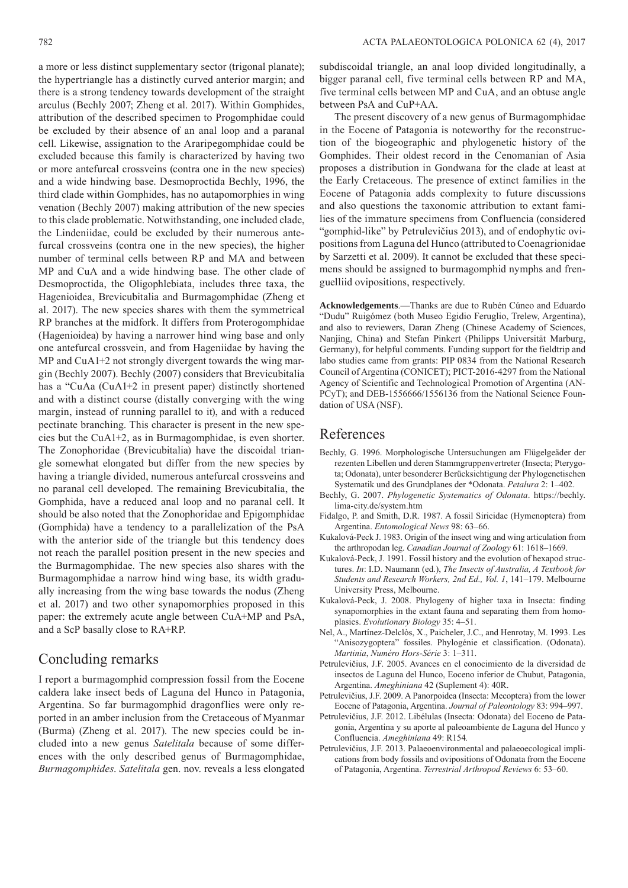a more or less distinct supplementary sector (trigonal planate); the hypertriangle has a distinctly curved anterior margin; and there is a strong tendency towards development of the straight arculus (Bechly 2007; Zheng et al. 2017). Within Gomphides, attribution of the described specimen to Progomphidae could be excluded by their absence of an anal loop and a paranal cell. Likewise, assignation to the Araripegomphidae could be excluded because this family is characterized by having two or more antefurcal crossveins (contra one in the new species) and a wide hindwing base. Desmoproctida Bechly, 1996, the third clade within Gomphides, has no autapomorphies in wing venation (Bechly 2007) making attribution of the new species to this clade problematic. Notwithstanding, one included clade, the Lindeniidae, could be excluded by their numerous antefurcal crossveins (contra one in the new species), the higher number of terminal cells between RP and MA and between MP and CuA and a wide hindwing base. The other clade of Desmoproctida, the Oligophlebiata, includes three taxa, the Hagenioidea, Brevicubitalia and Burmagomphidae (Zheng et al. 2017). The new species shares with them the symmetrical RP branches at the midfork. It differs from Proterogomphidae (Hagenioidea) by having a narrower hind wing base and only one antefurcal crossvein, and from Hageniidae by having the MP and CuA1+2 not strongly divergent towards the wing margin (Bechly 2007). Bechly (2007) considers that Brevicubitalia has a "CuAa (CuA1+2 in present paper) distinctly shortened and with a distinct course (distally converging with the wing margin, instead of running parallel to it), and with a reduced pectinate branching. This character is present in the new species but the CuA1+2, as in Burmagomphidae, is even shorter. The Zonophoridae (Brevicubitalia) have the discoidal triangle somewhat elongated but differ from the new species by having a triangle divided, numerous antefurcal crossveins and no paranal cell developed. The remaining Brevicubitalia, the Gomphida, have a reduced anal loop and no paranal cell. It should be also noted that the Zonophoridae and Epigomphidae (Gomphida) have a tendency to a parallelization of the PsA with the anterior side of the triangle but this tendency does not reach the parallel position present in the new species and the Burmagomphidae. The new species also shares with the Burmagomphidae a narrow hind wing base, its width gradually increasing from the wing base towards the nodus (Zheng et al. 2017) and two other synapomorphies proposed in this paper: the extremely acute angle between CuA+MP and PsA, and a ScP basally close to RA+RP.

# Concluding remarks

I report a burmagomphid compression fossil from the Eocene caldera lake insect beds of Laguna del Hunco in Patagonia, Argentina. So far burmagomphid dragonflies were only reported in an amber inclusion from the Cretaceous of Myanmar (Burma) (Zheng et al. 2017). The new species could be included into a new genus *Satelitala* because of some differences with the only described genus of Burmagomphidae, *Burmagomphides*. *Satelitala* gen. nov. reveals a less elongated

subdiscoidal triangle, an anal loop divided longitudinally, a bigger paranal cell, five terminal cells between RP and MA, five terminal cells between MP and CuA, and an obtuse angle between PsA and CuP+AA.

The present discovery of a new genus of Burmagomphidae in the Eocene of Patagonia is noteworthy for the reconstruction of the biogeographic and phylogenetic history of the Gomphides. Their oldest record in the Cenomanian of Asia proposes a distribution in Gondwana for the clade at least at the Early Cretaceous. The presence of extinct families in the Eocene of Patagonia adds complexity to future discussions and also questions the taxonomic attribution to extant families of the immature specimens from Confluencia (considered "gomphid-like" by Petrulevičius 2013), and of endophytic ovipositions from Laguna del Hunco (attributed to Coenagrionidae by Sarzetti et al. 2009). It cannot be excluded that these specimens should be assigned to burmagomphid nymphs and frenguelliid ovipositions, respectively.

**Acknowledgements**.—Thanks are due to Rubén Cúneo and Eduardo "Dudu" Ruigómez (both Museo Egidio Feruglio, Trelew, Argentina), and also to reviewers, Daran Zheng (Chinese Academy of Sciences, Nanjing, China) and Stefan Pinkert (Philipps Universität Marburg, Germany), for helpful comments. Funding support for the fieldtrip and labo studies came from grants: PIP 0834 from the National Research Council of Argentina (CONICET); PICT-2016-4297 from the National Agency of Scientific and Technological Promotion of Argentina (AN-PCyT); and DEB-1556666/1556136 from the National Science Foundation of USA (NSF).

## References

- Bechly, G. 1996. Morphologische Untersuchungen am Flügelgeäder der rezenten Libellen und deren Stammgruppenvertreter (Insecta; Pterygota; Odonata), unter besonderer Berücksichtigung der Phylogenetischen Systematik und des Grundplanes der \*Odonata. *Petalura* 2: 1–402.
- Bechly, G. 2007. *Phylogenetic Systematics of Odonata*. https://bechly. lima-city.de/system.htm
- Fidalgo, P. and Smith, D.R. 1987. A fossil Siricidae (Hymenoptera) from Argentina. *Entomological News* 98: 63–66.
- Kukalová-Peck J. 1983. Origin of the insect wing and wing articulation from the arthropodan leg. *Canadian Journal of Zoology* 61: 1618–1669.
- Kukalová-Peck, J. 1991. Fossil history and the evolution of hexapod structures. *In*: I.D. Naumann (ed.), *The Insects of Australia, A Textbook for Students and Research Workers, 2nd Ed., Vol. 1*, 141–179. Melbourne University Press, Melbourne.
- Kukalová-Peck, J. 2008. Phylogeny of higher taxa in Insecta: finding synapomorphies in the extant fauna and separating them from homoplasies. *Evolutionary Biology* 35: 4–51.
- Nel, A., Martínez-Delclòs, X., Paicheler, J.C., and Henrotay, M. 1993. Les "Anisozygoptera" fossiles. Phylogénie et classification. (Odonata). *Martinia*, *Numéro Hors-Série* 3: 1–311.
- Petrulevičius, J.F. 2005. Avances en el conocimiento de la diversidad de insectos de Laguna del Hunco, Eoceno inferior de Chubut, Patagonia, Argentina. *Ameghiniana* 42 (Suplement 4): 40R.
- Petrulevičius, J.F. 2009. A Panorpoidea (Insecta: Mecoptera) from the lower Eocene of Patagonia, Argentina. *Journal of Paleontology* 83: 994–997.
- Petrulevičius, J.F. 2012. Libélulas (Insecta: Odonata) del Eoceno de Patagonia, Argentina y su aporte al paleoambiente de Laguna del Hunco y Confluencia. *Ameghiniana* 49: R154*.*
- Petrulevičius, J.F. 2013. Palaeoenvironmental and palaeoecological implications from body fossils and ovipositions of Odonata from the Eocene of Patagonia, Argentina. *Terrestrial Arthropod Reviews* 6: 53–60.